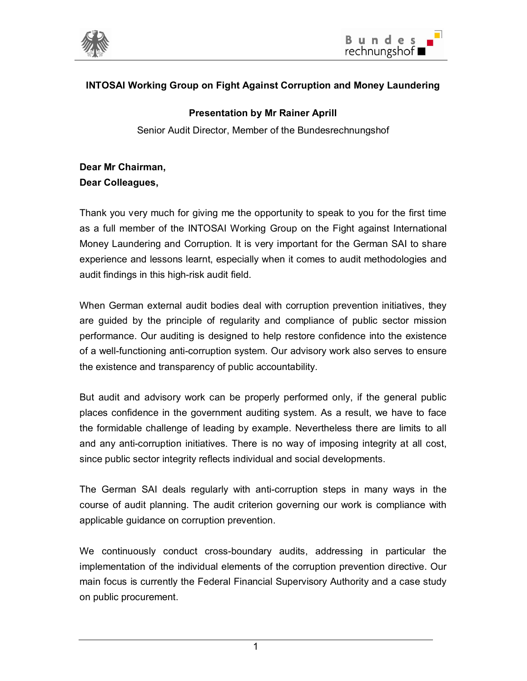



## **INTOSAI Working Group on Fight Against Corruption and Money Laundering**

## **Presentation by Mr Rainer Aprill**

Senior Audit Director, Member of the Bundesrechnungshof

## **Dear Mr Chairman, Dear Colleagues,**

Thank you very much for giving me the opportunity to speak to you for the first time as a full member of the INTOSAI Working Group on the Fight against International Money Laundering and Corruption. It is very important for the German SAI to share experience and lessons learnt, especially when it comes to audit methodologies and audit findings in this high-risk audit field.

When German external audit bodies deal with corruption prevention initiatives, they are guided by the principle of regularity and compliance of public sector mission performance. Our auditing is designed to help restore confidence into the existence of a well-functioning anti-corruption system. Our advisory work also serves to ensure the existence and transparency of public accountability.

But audit and advisory work can be properly performed only, if the general public places confidence in the government auditing system. As a result, we have to face the formidable challenge of leading by example. Nevertheless there are limits to all and any anti-corruption initiatives. There is no way of imposing integrity at all cost, since public sector integrity reflects individual and social developments.

The German SAI deals regularly with anti-corruption steps in many ways in the course of audit planning. The audit criterion governing our work is compliance with applicable guidance on corruption prevention.

We continuously conduct cross-boundary audits, addressing in particular the implementation of the individual elements of the corruption prevention directive. Our main focus is currently the Federal Financial Supervisory Authority and a case study on public procurement.